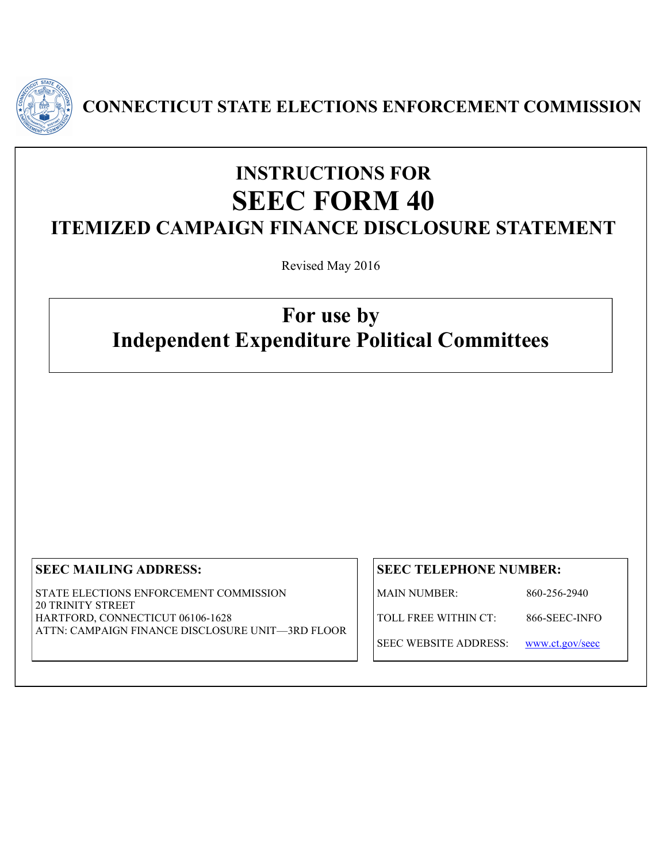

**CONNECTICUT STATE ELECTIONS ENFORCEMENT COMMISSION**

# **INSTRUCTIONS FOR SEEC FORM 40 ITEMIZED CAMPAIGN FINANCE DISCLOSURE STATEMENT**

Revised May 2016

# **For use by Independent Expenditure Political Committees**

# **SEEC MAILING ADDRESS:**

STATE ELECTIONS ENFORCEMENT COMMISSION 20 TRINITY STREET HARTFORD, CONNECTICUT 06106-1628 ATTN: CAMPAIGN FINANCE DISCLOSURE UNIT—3RD FLOOR

# **SEEC TELEPHONE NUMBER:**

MAIN NUMBER: 860-256-2940

TOLL FREE WITHIN CT: 866-SEEC-INFO

SEEC WEBSITE ADDRESS: [www.ct.gov/seec](http://www.ct.gov/seec)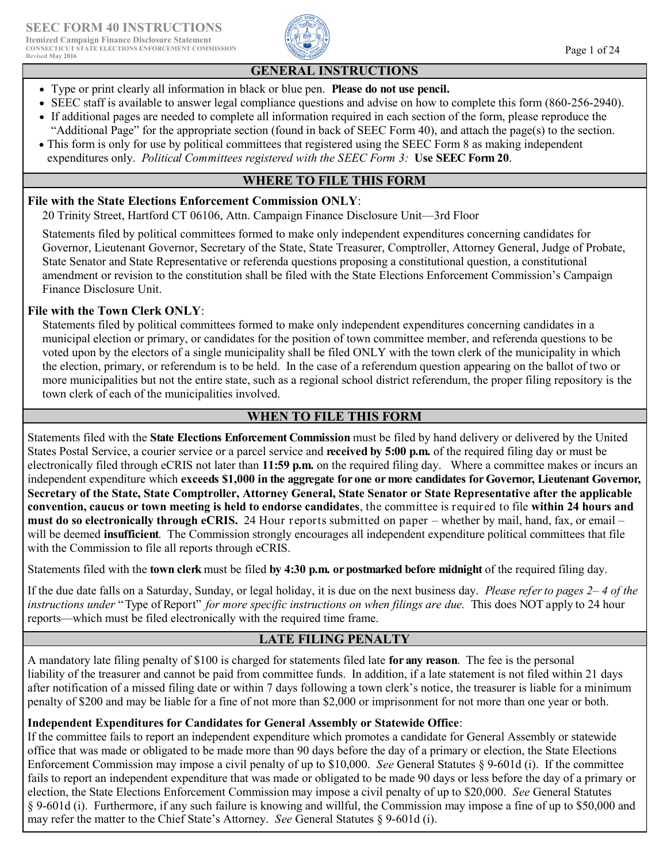

# **GENERAL INSTRUCTIONS**

- Type or print clearly all information in black or blue pen. **Please do not use pencil.**
- SEEC staff is available to answer legal compliance questions and advise on how to complete this form (860-256-2940).
- If additional pages are needed to complete all information required in each section of the form, please reproduce the "Additional Page" for the appropriate section (found in back of SEEC Form 40), and attach the page(s) to the section.
- This form is only for use by political committees that registered using the SEEC Form 8 as making independent expenditures only. *Political Committees registered with the SEEC Form 3:* **Use SEEC Form 20**.

### **WHERE TO FILE THIS FORM**

### **File with the State Elections Enforcement Commission ONLY**:

20 Trinity Street, Hartford CT 06106, Attn. Campaign Finance Disclosure Unit—3rd Floor

Statements filed by political committees formed to make only independent expenditures concerning candidates for Governor, Lieutenant Governor, Secretary of the State, State Treasurer, Comptroller, Attorney General, Judge of Probate, State Senator and State Representative or referenda questions proposing a constitutional question, a constitutional amendment or revision to the constitution shall be filed with the State Elections Enforcement Commission's Campaign Finance Disclosure Unit.

### **File with the Town Clerk ONLY**:

Statements filed by political committees formed to make only independent expenditures concerning candidates in a municipal election or primary, or candidates for the position of town committee member, and referenda questions to be voted upon by the electors of a single municipality shall be filed ONLY with the town clerk of the municipality in which the election, primary, or referendum is to be held. In the case of a referendum question appearing on the ballot of two or more municipalities but not the entire state, such as a regional school district referendum, the proper filing repository is the town clerk of each of the municipalities involved.

# **WHEN TO FILE THIS FORM**

Statements filed with the **State Elections Enforcement Commission** must be filed by hand delivery or delivered by the United States Postal Service, a courier service or a parcel service and **received by 5:00 p.m.** of the required filing day or must be electronically filed through eCRIS not later than **11:59 p.m.** on the required filing day. Where a committee makes or incurs an independent expenditure which **exceeds \$1,000 in the aggregate for one or more candidates for Governor, Lieutenant Governor, Secretary of the State, State Comptroller, Attorney General, State Senator or State Representative after the applicable convention, caucus or town meeting is held to endorse candidates**, the committee is required to file **within 24 hours and must do so electronically through eCRIS.** 24 Hour reports submitted on paper – whether by mail, hand, fax, or email – will be deemed **insufficient**. The Commission strongly encourages all independent expenditure political committees that file with the Commission to file all reports through eCRIS.

Statements filed with the **town clerk** must be filed **by 4:30 p.m. or postmarked before midnight** of the required filing day.

If the due date falls on a Saturday, Sunday, or legal holiday, it is due on the next business day. *Please refer to pages 2– 4 of the instructions under* "Type of Report" *for more specific instructions on when filings are due.* This does NOT apply to 24 hour reports—which must be filed electronically with the required time frame.

### **LATE FILING PENALTY**

A mandatory late filing penalty of \$100 is charged for statements filed late **for any reason**. The fee is the personal liability of the treasurer and cannot be paid from committee funds. In addition, if a late statement is not filed within 21 days after notification of a missed filing date or within 7 days following a town clerk's notice, the treasurer is liable for a minimum penalty of \$200 and may be liable for a fine of not more than \$2,000 or imprisonment for not more than one year or both.

### **Independent Expenditures for Candidates for General Assembly or Statewide Office**:

If the committee fails to report an independent expenditure which promotes a candidate for General Assembly or statewide office that was made or obligated to be made more than 90 days before the day of a primary or election, the State Elections Enforcement Commission may impose a civil penalty of up to \$10,000. *See* General Statutes § 9-601d (i). If the committee fails to report an independent expenditure that was made or obligated to be made 90 days or less before the day of a primary or election, the State Elections Enforcement Commission may impose a civil penalty of up to \$20,000. *See* General Statutes § 9-601d (i). Furthermore, if any such failure is knowing and willful, the Commission may impose a fine of up to \$50,000 and may refer the matter to the Chief State's Attorney. *See* General Statutes § 9-601d (i).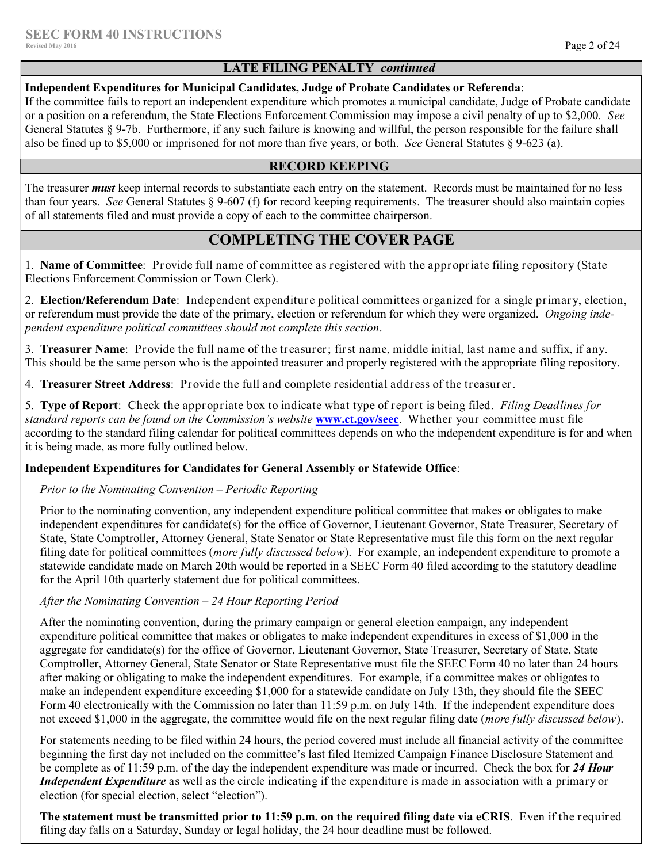### **LATE FILING PENALTY** *continued*

#### **Independent Expenditures for Municipal Candidates, Judge of Probate Candidates or Referenda**:

If the committee fails to report an independent expenditure which promotes a municipal candidate, Judge of Probate candidate or a position on a referendum, the State Elections Enforcement Commission may impose a civil penalty of up to \$2,000. *See*  General Statutes § 9-7b. Furthermore, if any such failure is knowing and willful, the person responsible for the failure shall also be fined up to \$5,000 or imprisoned for not more than five years, or both. *See* General Statutes § 9-623 (a).

### **RECORD KEEPING**

The treasurer *must* keep internal records to substantiate each entry on the statement. Records must be maintained for no less than four years. *See* General Statutes § 9-607 (f) for record keeping requirements. The treasurer should also maintain copies of all statements filed and must provide a copy of each to the committee chairperson.

# **COMPLETING THE COVER PAGE**

1. **Name of Committee**: Provide full name of committee as registered with the appropriate filing repository (State Elections Enforcement Commission or Town Clerk).

2. **Election/Referendum Date**: Independent expenditure political committees organized for a single primary, election, or referendum must provide the date of the primary, election or referendum for which they were organized. *Ongoing independent expenditure political committees should not complete this section*.

3. **Treasurer Name**: Provide the full name of the treasurer; first name, middle initial, last name and suffix, if any. This should be the same person who is the appointed treasurer and properly registered with the appropriate filing repository.

4. **Treasurer Street Address**: Provide the full and complete residential address of the treasurer.

5. **Type of Report**: Check the appropriate box to indicate what type of report is being filed. *Filing Deadlines for standard reports can be found on the Commission's website* **[www.ct.gov/seec](http://www.ct.gov/seec)**. Whether your committee must file according to the standard filing calendar for political committees depends on who the independent expenditure is for and when it is being made, as more fully outlined below.

### **Independent Expenditures for Candidates for General Assembly or Statewide Office**:

### *Prior to the Nominating Convention – Periodic Reporting*

Prior to the nominating convention, any independent expenditure political committee that makes or obligates to make independent expenditures for candidate(s) for the office of Governor, Lieutenant Governor, State Treasurer, Secretary of State, State Comptroller, Attorney General, State Senator or State Representative must file this form on the next regular filing date for political committees (*more fully discussed below*). For example, an independent expenditure to promote a statewide candidate made on March 20th would be reported in a SEEC Form 40 filed according to the statutory deadline for the April 10th quarterly statement due for political committees.

### *After the Nominating Convention – 24 Hour Reporting Period*

After the nominating convention, during the primary campaign or general election campaign, any independent expenditure political committee that makes or obligates to make independent expenditures in excess of \$1,000 in the aggregate for candidate(s) for the office of Governor, Lieutenant Governor, State Treasurer, Secretary of State, State Comptroller, Attorney General, State Senator or State Representative must file the SEEC Form 40 no later than 24 hours after making or obligating to make the independent expenditures. For example, if a committee makes or obligates to make an independent expenditure exceeding \$1,000 for a statewide candidate on July 13th, they should file the SEEC Form 40 electronically with the Commission no later than 11:59 p.m. on July 14th. If the independent expenditure does not exceed \$1,000 in the aggregate, the committee would file on the next regular filing date (*more fully discussed below*).

For statements needing to be filed within 24 hours, the period covered must include all financial activity of the committee beginning the first day not included on the committee's last filed Itemized Campaign Finance Disclosure Statement and be complete as of 11:59 p.m. of the day the independent expenditure was made or incurred. Check the box for *24 Hour Independent Expenditure* as well as the circle indicating if the expenditure is made in association with a primary or election (for special election, select "election").

**The statement must be transmitted prior to 11:59 p.m. on the required filing date via eCRIS**. Even if the required filing day falls on a Saturday, Sunday or legal holiday, the 24 hour deadline must be followed.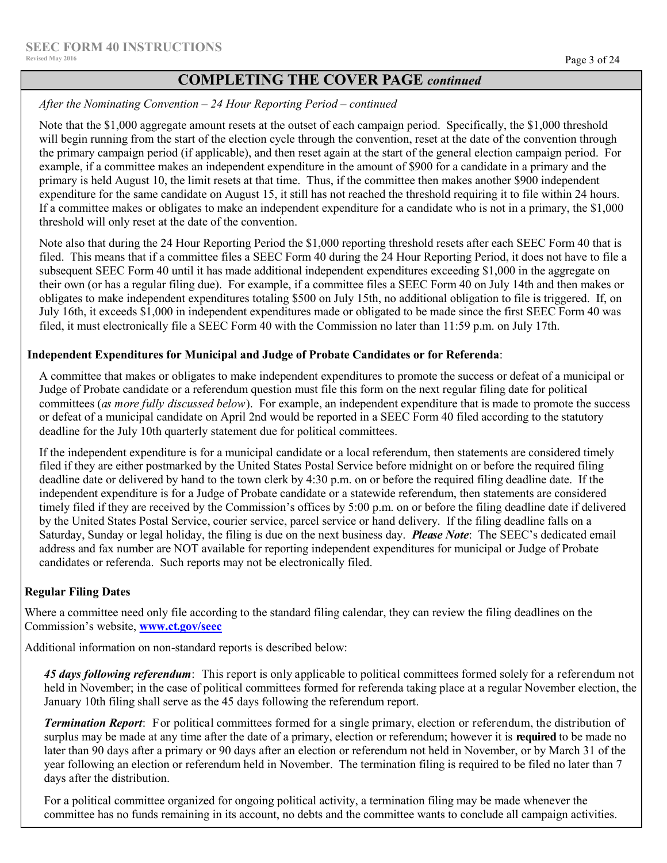# **COMPLETING THE COVER PAGE** *continued*

*After the Nominating Convention – 24 Hour Reporting Period – continued*

Note that the \$1,000 aggregate amount resets at the outset of each campaign period. Specifically, the \$1,000 threshold will begin running from the start of the election cycle through the convention, reset at the date of the convention through the primary campaign period (if applicable), and then reset again at the start of the general election campaign period. For example, if a committee makes an independent expenditure in the amount of \$900 for a candidate in a primary and the primary is held August 10, the limit resets at that time. Thus, if the committee then makes another \$900 independent expenditure for the same candidate on August 15, it still has not reached the threshold requiring it to file within 24 hours. If a committee makes or obligates to make an independent expenditure for a candidate who is not in a primary, the \$1,000 threshold will only reset at the date of the convention.

Note also that during the 24 Hour Reporting Period the \$1,000 reporting threshold resets after each SEEC Form 40 that is filed. This means that if a committee files a SEEC Form 40 during the 24 Hour Reporting Period, it does not have to file a subsequent SEEC Form 40 until it has made additional independent expenditures exceeding \$1,000 in the aggregate on their own (or has a regular filing due). For example, if a committee files a SEEC Form 40 on July 14th and then makes or obligates to make independent expenditures totaling \$500 on July 15th, no additional obligation to file is triggered. If, on July 16th, it exceeds \$1,000 in independent expenditures made or obligated to be made since the first SEEC Form 40 was filed, it must electronically file a SEEC Form 40 with the Commission no later than 11:59 p.m. on July 17th.

### **Independent Expenditures for Municipal and Judge of Probate Candidates or for Referenda**:

A committee that makes or obligates to make independent expenditures to promote the success or defeat of a municipal or Judge of Probate candidate or a referendum question must file this form on the next regular filing date for political committees (*as more fully discussed below*). For example, an independent expenditure that is made to promote the success or defeat of a municipal candidate on April 2nd would be reported in a SEEC Form 40 filed according to the statutory deadline for the July 10th quarterly statement due for political committees.

If the independent expenditure is for a municipal candidate or a local referendum, then statements are considered timely filed if they are either postmarked by the United States Postal Service before midnight on or before the required filing deadline date or delivered by hand to the town clerk by 4:30 p.m. on or before the required filing deadline date. If the independent expenditure is for a Judge of Probate candidate or a statewide referendum, then statements are considered timely filed if they are received by the Commission's offices by 5:00 p.m. on or before the filing deadline date if delivered by the United States Postal Service, courier service, parcel service or hand delivery. If the filing deadline falls on a Saturday, Sunday or legal holiday, the filing is due on the next business day. *Please Note*: The SEEC's dedicated email address and fax number are NOT available for reporting independent expenditures for municipal or Judge of Probate candidates or referenda. Such reports may not be electronically filed.

### **Regular Filing Dates**

Where a committee need only file according to the standard filing calendar, they can review the filing deadlines on the Commission's website, **[www.ct.gov/seec](http://www.ct.gov/seec)**

Additional information on non-standard reports is described below:

*45 days following referendum*: This report is only applicable to political committees formed solely for a referendum not held in November; in the case of political committees formed for referenda taking place at a regular November election, the January 10th filing shall serve as the 45 days following the referendum report.

*Termination Report*: For political committees formed for a single primary, election or referendum, the distribution of surplus may be made at any time after the date of a primary, election or referendum; however it is **required** to be made no later than 90 days after a primary or 90 days after an election or referendum not held in November, or by March 31 of the year following an election or referendum held in November. The termination filing is required to be filed no later than 7 days after the distribution.

For a political committee organized for ongoing political activity, a termination filing may be made whenever the committee has no funds remaining in its account, no debts and the committee wants to conclude all campaign activities.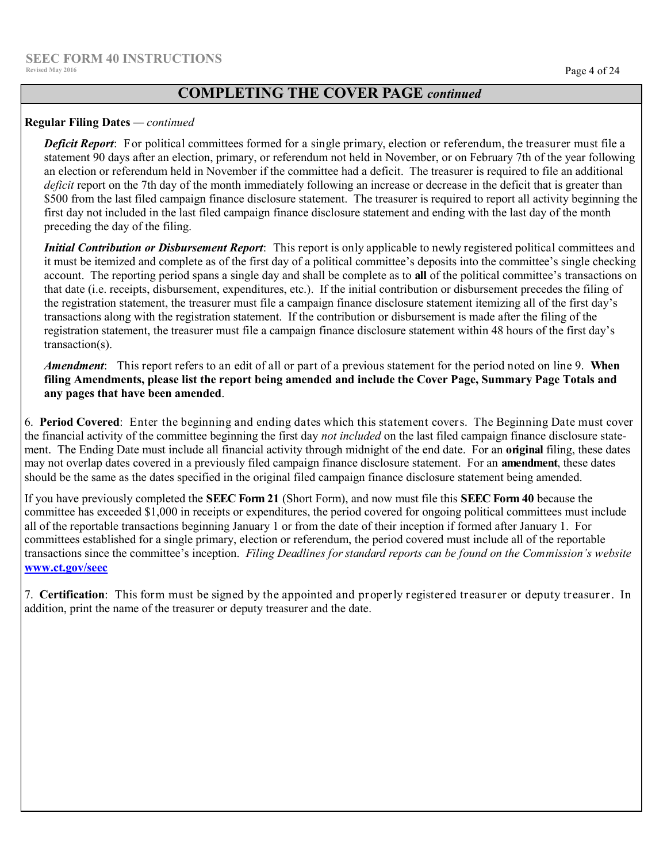# **COMPLETING THE COVER PAGE** *continued*

### **Regular Filing Dates** *— continued*

*Deficit Report*: For political committees formed for a single primary, election or referendum, the treasurer must file a statement 90 days after an election, primary, or referendum not held in November, or on February 7th of the year following an election or referendum held in November if the committee had a deficit. The treasurer is required to file an additional *deficit* report on the 7th day of the month immediately following an increase or decrease in the deficit that is greater than \$500 from the last filed campaign finance disclosure statement. The treasurer is required to report all activity beginning the first day not included in the last filed campaign finance disclosure statement and ending with the last day of the month preceding the day of the filing.

*Initial Contribution or Disbursement Report*: This report is only applicable to newly registered political committees and it must be itemized and complete as of the first day of a political committee's deposits into the committee's single checking account. The reporting period spans a single day and shall be complete as to **all** of the political committee's transactions on that date (i.e. receipts, disbursement, expenditures, etc.). If the initial contribution or disbursement precedes the filing of the registration statement, the treasurer must file a campaign finance disclosure statement itemizing all of the first day's transactions along with the registration statement. If the contribution or disbursement is made after the filing of the registration statement, the treasurer must file a campaign finance disclosure statement within 48 hours of the first day's transaction(s).

*Amendment*: This report refers to an edit of all or part of a previous statement for the period noted on line 9. **When filing Amendments, please list the report being amended and include the Cover Page, Summary Page Totals and any pages that have been amended**.

6. **Period Covered**: Enter the beginning and ending dates which this statement covers. The Beginning Date must cover the financial activity of the committee beginning the first day *not included* on the last filed campaign finance disclosure statement. The Ending Date must include all financial activity through midnight of the end date. For an **original** filing, these dates may not overlap dates covered in a previously filed campaign finance disclosure statement. For an **amendment**, these dates should be the same as the dates specified in the original filed campaign finance disclosure statement being amended.

If you have previously completed the **SEEC Form 21** (Short Form), and now must file this **SEEC Form 40** because the committee has exceeded \$1,000 in receipts or expenditures, the period covered for ongoing political committees must include all of the reportable transactions beginning January 1 or from the date of their inception if formed after January 1. For committees established for a single primary, election or referendum, the period covered must include all of the reportable transactions since the committee's inception. *Filing Deadlines for standard reports can be found on the Commission's website* **[www.ct.gov/seec](http://www.ct.gov/seec)**

7. **Certification**: This form must be signed by the appointed and properly registered treasurer or deputy treasurer. In addition, print the name of the treasurer or deputy treasurer and the date.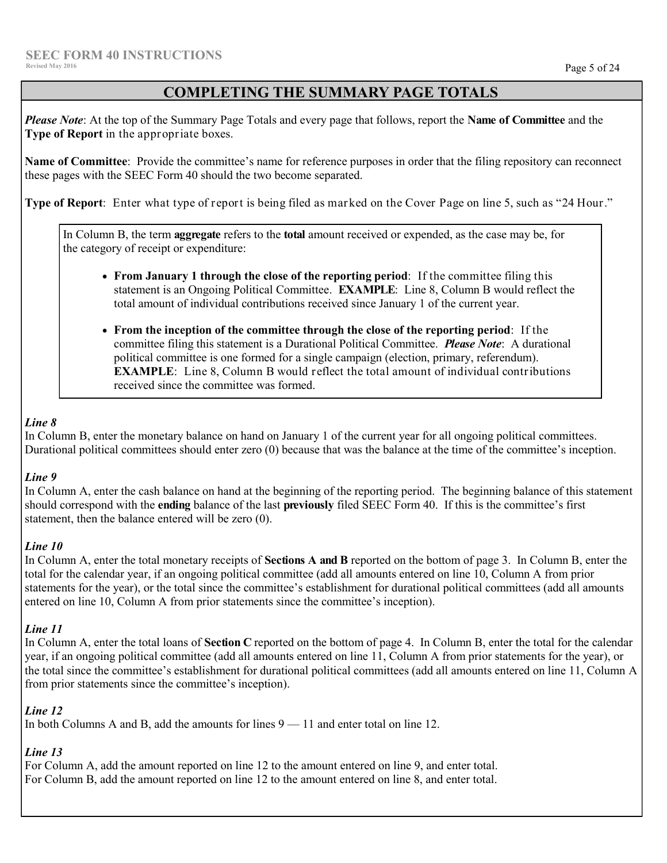# **COMPLETING THE SUMMARY PAGE TOTALS**

*Please Note*: At the top of the Summary Page Totals and every page that follows, report the **Name of Committee** and the **Type of Report** in the appropriate boxes.

**Name of Committee**:Provide the committee's name for reference purposes in order that the filing repository can reconnect these pages with the SEEC Form 40 should the two become separated.

**Type of Report**: Enter what type of report is being filed as marked on the Cover Page on line 5, such as "24 Hour."

In Column B, the term **aggregate** refers to the **total** amount received or expended, as the case may be, for the category of receipt or expenditure:

- **From January 1 through the close of the reporting period**: If the committee filing this statement is an Ongoing Political Committee. **EXAMPLE**: Line 8, Column B would reflect the total amount of individual contributions received since January 1 of the current year.
- **From the inception of the committee through the close of the reporting period**: If the committee filing this statement is a Durational Political Committee. *Please Note*: A durational political committee is one formed for a single campaign (election, primary, referendum). **EXAMPLE:** Line 8, Column B would reflect the total amount of individual contributions received since the committee was formed.

### *Line 8*

In Column B, enter the monetary balance on hand on January 1 of the current year for all ongoing political committees. Durational political committees should enter zero (0) because that was the balance at the time of the committee's inception.

# *Line 9*

In Column A, enter the cash balance on hand at the beginning of the reporting period. The beginning balance of this statement should correspond with the **ending** balance of the last **previously** filed SEEC Form 40. If this is the committee's first statement, then the balance entered will be zero (0).

### *Line 10*

In Column A, enter the total monetary receipts of **Sections A and B** reported on the bottom of page 3. In Column B, enter the total for the calendar year, if an ongoing political committee (add all amounts entered on line 10, Column A from prior statements for the year), or the total since the committee's establishment for durational political committees (add all amounts entered on line 10, Column A from prior statements since the committee's inception).

### *Line 11*

In Column A, enter the total loans of **Section C** reported on the bottom of page 4. In Column B, enter the total for the calendar year, if an ongoing political committee (add all amounts entered on line 11, Column A from prior statements for the year), or the total since the committee's establishment for durational political committees (add all amounts entered on line 11, Column A from prior statements since the committee's inception).

# *Line 12*

In both Columns A and B, add the amounts for lines 9 — 11 and enter total on line 12.

# *Line 13*

For Column A, add the amount reported on line 12 to the amount entered on line 9, and enter total. For Column B, add the amount reported on line 12 to the amount entered on line 8, and enter total.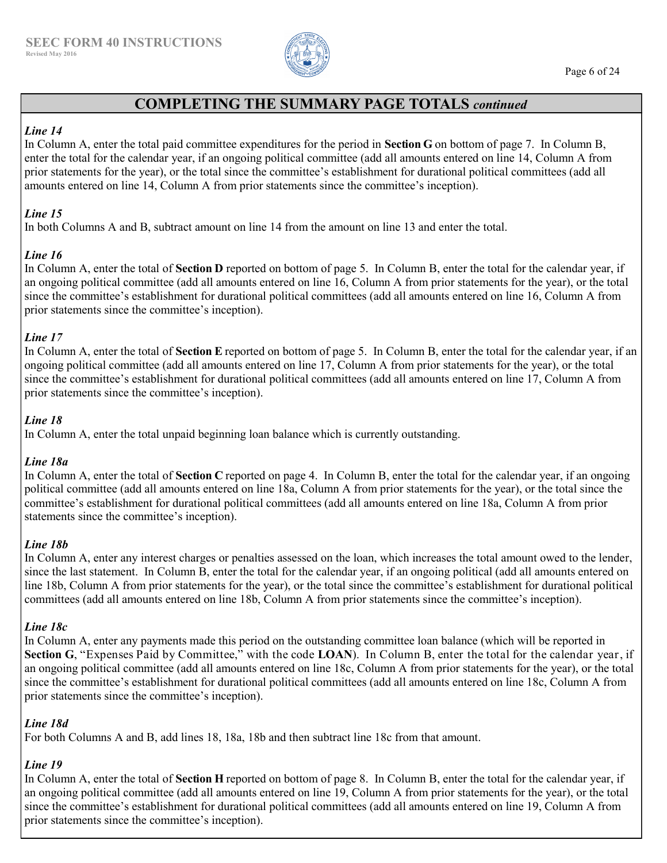

# **COMPLETING THE SUMMARY PAGE TOTALS** *continued*

### *Line 14*

In Column A, enter the total paid committee expenditures for the period in **Section G** on bottom of page 7. In Column B, enter the total for the calendar year, if an ongoing political committee (add all amounts entered on line 14, Column A from prior statements for the year), or the total since the committee's establishment for durational political committees (add all amounts entered on line 14, Column A from prior statements since the committee's inception).

### *Line 15*

In both Columns A and B, subtract amount on line 14 from the amount on line 13 and enter the total.

### *Line 16*

In Column A, enter the total of **Section D** reported on bottom of page 5. In Column B, enter the total for the calendar year, if an ongoing political committee (add all amounts entered on line 16, Column A from prior statements for the year), or the total since the committee's establishment for durational political committees (add all amounts entered on line 16, Column A from prior statements since the committee's inception).

### *Line 17*

In Column A, enter the total of **Section E** reported on bottom of page 5. In Column B, enter the total for the calendar year, if an ongoing political committee (add all amounts entered on line 17, Column A from prior statements for the year), or the total since the committee's establishment for durational political committees (add all amounts entered on line 17, Column A from prior statements since the committee's inception).

# *Line 18*

In Column A, enter the total unpaid beginning loan balance which is currently outstanding.

# *Line 18a*

In Column A, enter the total of **Section C** reported on page 4. In Column B, enter the total for the calendar year, if an ongoing political committee (add all amounts entered on line 18a, Column A from prior statements for the year), or the total since the committee's establishment for durational political committees (add all amounts entered on line 18a, Column A from prior statements since the committee's inception).

### *Line 18b*

In Column A, enter any interest charges or penalties assessed on the loan, which increases the total amount owed to the lender, since the last statement. In Column B, enter the total for the calendar year, if an ongoing political (add all amounts entered on line 18b, Column A from prior statements for the year), or the total since the committee's establishment for durational political committees (add all amounts entered on line 18b, Column A from prior statements since the committee's inception).

### *Line 18c*

In Column A, enter any payments made this period on the outstanding committee loan balance (which will be reported in **Section G**, "Expenses Paid by Committee," with the code **LOAN**). In Column B, enter the total for the calendar year, if an ongoing political committee (add all amounts entered on line 18c, Column A from prior statements for the year), or the total since the committee's establishment for durational political committees (add all amounts entered on line 18c, Column A from prior statements since the committee's inception).

### *Line 18d*

For both Columns A and B, add lines 18, 18a, 18b and then subtract line 18c from that amount.

# *Line 19*

In Column A, enter the total of **Section H** reported on bottom of page 8. In Column B, enter the total for the calendar year, if an ongoing political committee (add all amounts entered on line 19, Column A from prior statements for the year), or the total since the committee's establishment for durational political committees (add all amounts entered on line 19, Column A from prior statements since the committee's inception).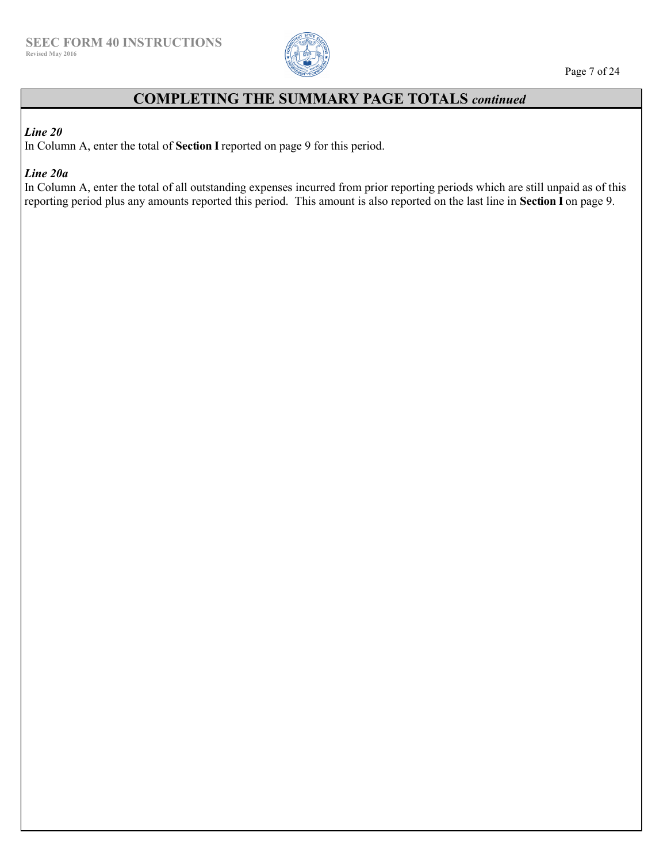

# **COMPLETING THE SUMMARY PAGE TOTALS** *continued*

### *Line 20*

In Column A, enter the total of **Section I** reported on page 9 for this period.

*Line 20a*

In Column A, enter the total of all outstanding expenses incurred from prior reporting periods which are still unpaid as of this reporting period plus any amounts reported this period. This amount is also reported on the last line in **Section I** on page 9.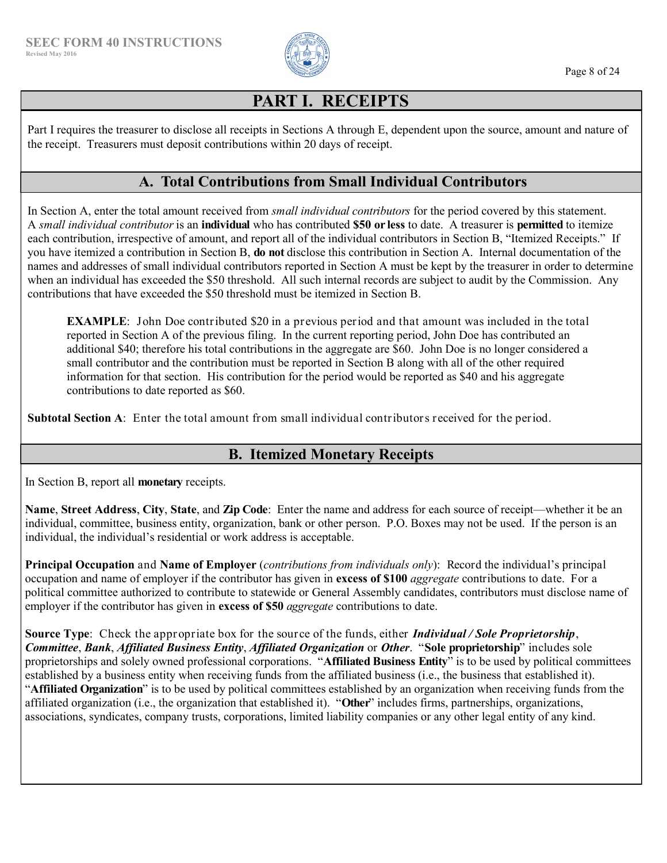

# **PART I. RECEIPTS**

Part I requires the treasurer to disclose all receipts in Sections A through E, dependent upon the source, amount and nature of the receipt. Treasurers must deposit contributions within 20 days of receipt.

# **A. Total Contributions from Small Individual Contributors**

In Section A, enter the total amount received from *small individual contributors* for the period covered by this statement. A *small individual contributor* is an **individual** who has contributed **\$50 or less** to date. A treasurer is **permitted** to itemize each contribution, irrespective of amount, and report all of the individual contributors in Section B, "Itemized Receipts." If you have itemized a contribution in Section B, **do not** disclose this contribution in Section A. Internal documentation of the names and addresses of small individual contributors reported in Section A must be kept by the treasurer in order to determine when an individual has exceeded the \$50 threshold. All such internal records are subject to audit by the Commission. Any contributions that have exceeded the \$50 threshold must be itemized in Section B.

**EXAMPLE**: John Doe contributed \$20 in a previous period and that amount was included in the total reported in Section A of the previous filing. In the current reporting period, John Doe has contributed an additional \$40; therefore his total contributions in the aggregate are \$60. John Doe is no longer considered a small contributor and the contribution must be reported in Section B along with all of the other required information for that section. His contribution for the period would be reported as \$40 and his aggregate contributions to date reported as \$60.

**Subtotal Section A:** Enter the total amount from small individual contributors received for the period.

# **B. Itemized Monetary Receipts**

In Section B, report all **monetary** receipts.

**Name**, **Street Address**, **City**, **State**, and **Zip Code**: Enter the name and address for each source of receipt—whether it be an individual, committee, business entity, organization, bank or other person. P.O. Boxes may not be used. If the person is an individual, the individual's residential or work address is acceptable.

**Principal Occupation** and **Name of Employer** (*contributions from individuals only*): Record the individual's principal occupation and name of employer if the contributor has given in **excess of \$100** *aggregate* contributions to date. For a political committee authorized to contribute to statewide or General Assembly candidates, contributors must disclose name of employer if the contributor has given in **excess of \$50** *aggregate* contributions to date.

**Source Type**: Check the appropriate box for the source of the funds, either *Individual / Sole Proprietorship*, *Committee*, *Bank*, *Affiliated Business Entity*, *Affiliated Organization* or *Other*. "**Sole proprietorship**" includes sole proprietorships and solely owned professional corporations. "**Affiliated Business Entity**" is to be used by political committees established by a business entity when receiving funds from the affiliated business (i.e., the business that established it). "**Affiliated Organization**" is to be used by political committees established by an organization when receiving funds from the affiliated organization (i.e., the organization that established it). "**Other**" includes firms, partnerships, organizations, associations, syndicates, company trusts, corporations, limited liability companies or any other legal entity of any kind.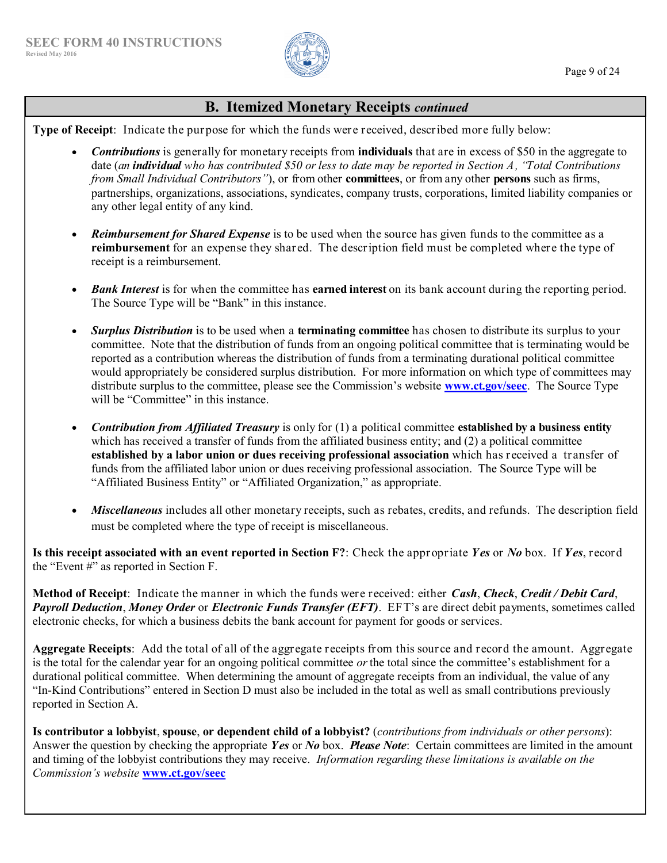

# **B. Itemized Monetary Receipts** *continued*

**Type of Receipt**: Indicate the purpose for which the funds were received, described more fully below:

- *Contributions* is generally for monetary receipts from **individuals** that are in excess of \$50 in the aggregate to date (*an individual who has contributed \$50 or less to date may be reported in Section A, "Total Contributions from Small Individual Contributors"*), or from other **committees**, or from any other **persons** such as firms, partnerships, organizations, associations, syndicates, company trusts, corporations, limited liability companies or any other legal entity of any kind.
- *Reimbursement for Shared Expense* is to be used when the source has given funds to the committee as a **reimbursement** for an expense they shared. The description field must be completed where the type of receipt is a reimbursement.
- *Bank Interest* is for when the committee has **earned interest** on its bank account during the reporting period. The Source Type will be "Bank" in this instance.
- *Surplus Distribution* is to be used when a **terminating committee** has chosen to distribute its surplus to your committee. Note that the distribution of funds from an ongoing political committee that is terminating would be reported as a contribution whereas the distribution of funds from a terminating durational political committee would appropriately be considered surplus distribution. For more information on which type of committees may distribute surplus to the committee, please see the Commission's website **[www.ct.gov/seec](http://www.ct.gov/seec)**. The Source Type will be "Committee" in this instance.
- *Contribution from Affiliated Treasury* is only for (1) a political committee **established by a business entity**  which has received a transfer of funds from the affiliated business entity; and (2) a political committee **established by a labor union or dues receiving professional association** which has received a transfer of funds from the affiliated labor union or dues receiving professional association. The Source Type will be "Affiliated Business Entity" or "Affiliated Organization," as appropriate.
- *Miscellaneous* includes all other monetary receipts, such as rebates, credits, and refunds. The description field must be completed where the type of receipt is miscellaneous.

**Is this receipt associated with an event reported in Section F?**: Check the appropriate *Yes* or *No* box. If *Yes*, record the "Event #" as reported in Section F.

**Method of Receipt**: Indicate the manner in which the funds were received: either *Cash*, *Check*, *Credit / Debit Card*, *Payroll Deduction*, *Money Order* or *Electronic Funds Transfer (EFT)*. EFT's are direct debit payments, sometimes called electronic checks, for which a business debits the bank account for payment for goods or services.

**Aggregate Receipts**: Add the total of all of the aggregate receipts from this source and record the amount. Aggregate is the total for the calendar year for an ongoing political committee *or*the total since the committee's establishment for a durational political committee. When determining the amount of aggregate receipts from an individual, the value of any "In-Kind Contributions" entered in Section D must also be included in the total as well as small contributions previously reported in Section A.

**Is contributor a lobbyist**, **spouse**, **or dependent child of a lobbyist?** (*contributions from individuals or other persons*): Answer the question by checking the appropriate *Yes* or *No* box. *Please Note*: Certain committees are limited in the amount and timing of the lobbyist contributions they may receive. *Information regarding these limitations is available on the Commission's website* **[www.ct.gov/seec](http://www.ct.gov/seec)**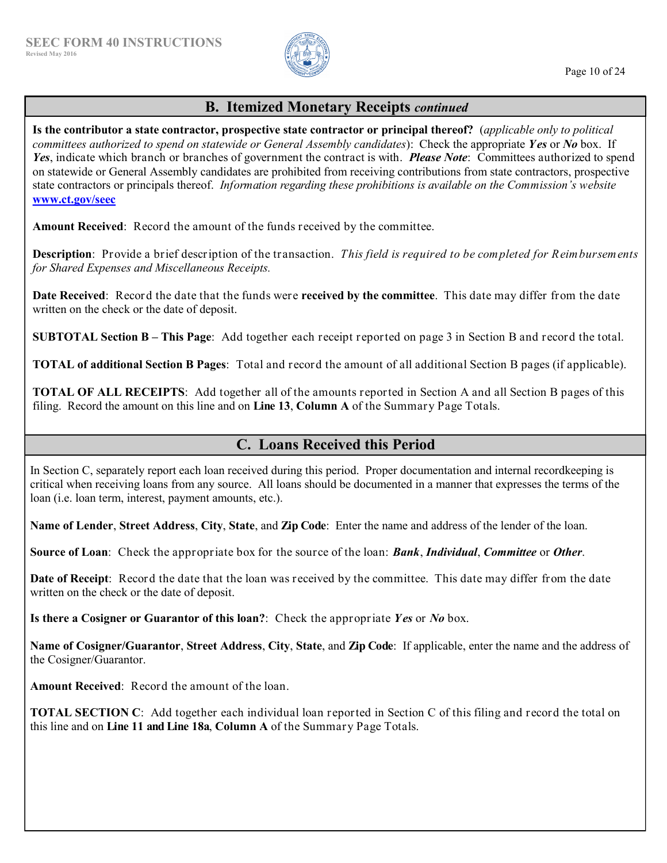

#### Page 10 of 24

# **B. Itemized Monetary Receipts** *continued*

**Is the contributor a state contractor, prospective state contractor or principal thereof?** (*applicable only to political committees authorized to spend on statewide or General Assembly candidates*):Check the appropriate *Yes* or *No* box. If *Yes*, indicate which branch or branches of government the contract is with. *Please Note*: Committees authorized to spend on statewide or General Assembly candidates are prohibited from receiving contributions from state contractors, prospective state contractors or principals thereof. *Information regarding these prohibitions is available on the Commission's website* **[www.ct.gov/seec](http://www.ct.gov/seec)**

**Amount Received**: Record the amount of the funds received by the committee.

**Description**: Provide a brief description of the transaction. *This field is required to be completed for Reimbursements for Shared Expenses and Miscellaneous Receipts.*

**Date Received**: Record the date that the funds were **received by the committee**. This date may differ from the date written on the check or the date of deposit.

**SUBTOTAL Section B – This Page**: Add together each receipt reported on page 3 in Section B and record the total.

**TOTAL of additional Section B Pages**: Total and record the amount of all additional Section B pages (if applicable).

**TOTAL OF ALL RECEIPTS**: Add together all of the amounts reported in Section A and all Section B pages of this filing. Record the amount on this line and on **Line 13**, **Column A** of the Summary Page Totals.

# **C. Loans Received this Period**

In Section C, separately report each loan received during this period. Proper documentation and internal recordkeeping is critical when receiving loans from any source. All loans should be documented in a manner that expresses the terms of the loan (i.e. loan term, interest, payment amounts, etc.).

**Name of Lender**, **Street Address**, **City**, **State**, and **Zip Code**: Enter the name and address of the lender of the loan.

**Source of Loan**: Check the appropriate box for the source of the loan: *Bank*, *Individual*, *Committee* or *Other*.

**Date of Receipt**: Record the date that the loan was received by the committee. This date may differ from the date written on the check or the date of deposit.

**Is there a Cosigner or Guarantor of this loan?**: Check the appropriate *Yes* or *No* box.

**Name of Cosigner/Guarantor**, **Street Address**, **City**, **State**, and **Zip Code**: If applicable, enter the name and the address of the Cosigner/Guarantor.

**Amount Received**: Record the amount of the loan.

**TOTAL SECTION C**: Add together each individual loan reported in Section C of this filing and record the total on this line and on **Line 11 and Line 18a**, **Column A** of the Summary Page Totals.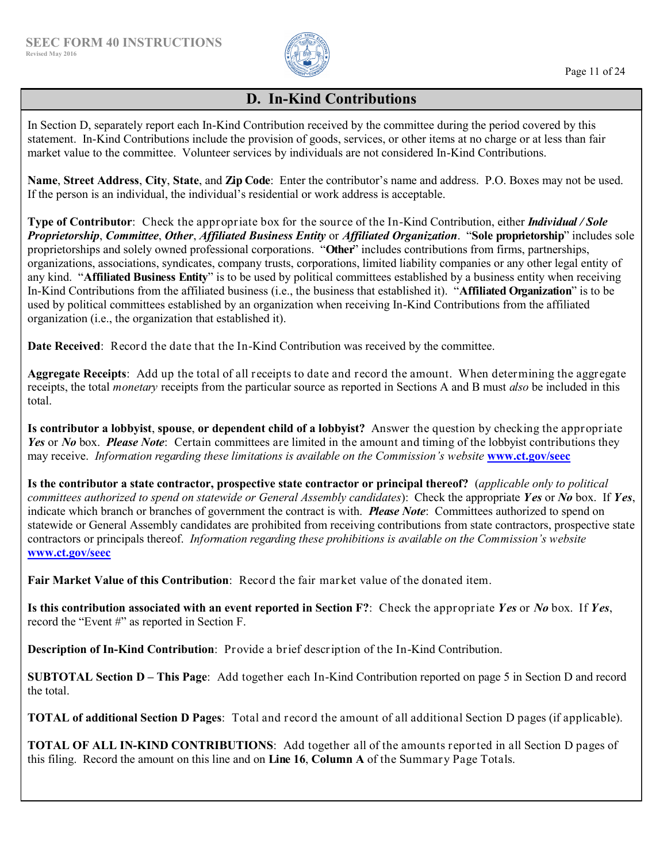

#### Page 11 of 24

# **D. In-Kind Contributions**

In Section D, separately report each In-Kind Contribution received by the committee during the period covered by this statement. In-Kind Contributions include the provision of goods, services, or other items at no charge or at less than fair market value to the committee. Volunteer services by individuals are not considered In-Kind Contributions.

**Name**, **Street Address**, **City**, **State**, and **Zip Code**: Enter the contributor's name and address. P.O. Boxes may not be used. If the person is an individual, the individual's residential or work address is acceptable.

**Type of Contributor**: Check the appropriate box for the source of the In-Kind Contribution, either *Individual / Sole Proprietorship*, *Committee*, *Other*, *Affiliated Business Entity* or *Affiliated Organization*."**Sole proprietorship**" includes sole proprietorships and solely owned professional corporations. "**Other**" includes contributions from firms, partnerships, organizations, associations, syndicates, company trusts, corporations, limited liability companies or any other legal entity of any kind. "**Affiliated Business Entity**" is to be used by political committees established by a business entity when receiving In-Kind Contributions from the affiliated business (i.e., the business that established it). "**Affiliated Organization**" is to be used by political committees established by an organization when receiving In-Kind Contributions from the affiliated organization (i.e., the organization that established it).

**Date Received**: Record the date that the In-Kind Contribution was received by the committee.

**Aggregate Receipts**: Add up the total of all receipts to date and record the amount. When determining the aggregate receipts, the total *monetary* receipts from the particular source as reported in Sections A and B must *also* be included in this total.

**Is contributor a lobbyist**, **spouse**, **or dependent child of a lobbyist?** Answer the question by checking the appropriate *Yes* or *No* box. *Please Note*: Certain committees are limited in the amount and timing of the lobbyist contributions they may receive. *Information regarding these limitations is available on the Commission's website* **[www.ct.gov/seec](http://www.ct.gov/seec)**

**Is the contributor a state contractor, prospective state contractor or principal thereof?** (*applicable only to political committees authorized to spend on statewide or General Assembly candidates*):Check the appropriate *Yes* or *No* box. If *Yes*, indicate which branch or branches of government the contract is with. *Please Note*: Committees authorized to spend on statewide or General Assembly candidates are prohibited from receiving contributions from state contractors, prospective state contractors or principals thereof. *Information regarding these prohibitions is available on the Commission's website* **[www.ct.gov/seec](http://www.ct.gov/seec)**

**Fair Market Value of this Contribution**: Record the fair market value of the donated item.

**Is this contribution associated with an event reported in Section F?**: Check the appropriate *Yes* or *No* box. If *Yes*, record the "Event #" as reported in Section F.

**Description of In-Kind Contribution**: Provide a brief description of the In-Kind Contribution.

**SUBTOTAL Section D – This Page**: Add together each In-Kind Contribution reported on page 5 in Section D and record the total.

**TOTAL of additional Section D Pages**: Total and record the amount of all additional Section D pages (if applicable).

**TOTAL OF ALL IN-KIND CONTRIBUTIONS**: Add together all of the amounts reported in all Section D pages of this filing. Record the amount on this line and on **Line 16**, **Column A** of the Summary Page Totals.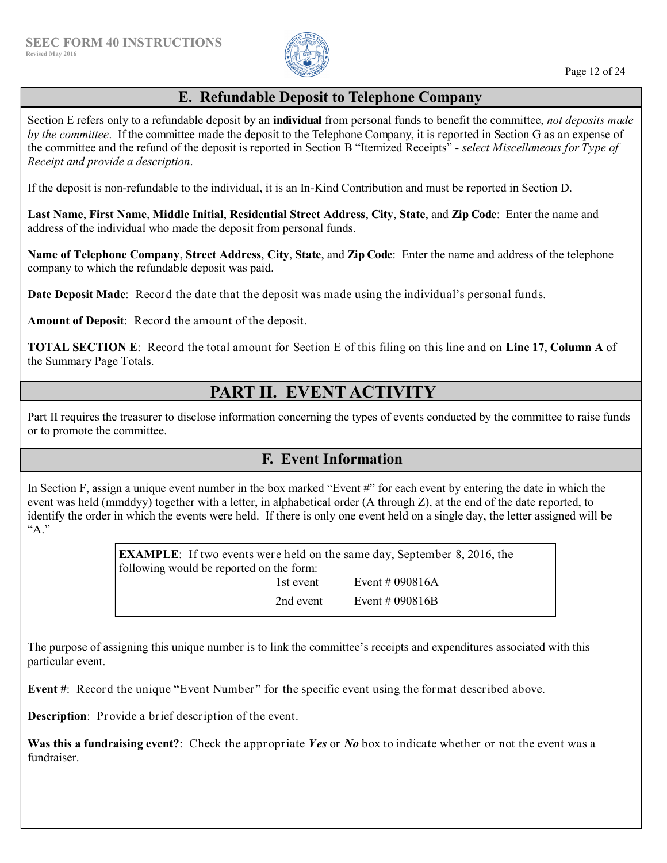

# **E. Refundable Deposit to Telephone Company**

Section E refers only to a refundable deposit by an **individual** from personal funds to benefit the committee, *not deposits made by the committee*. If the committee made the deposit to the Telephone Company, it is reported in Section G as an expense of the committee and the refund of the deposit is reported in Section B "Itemized Receipts" - *select Miscellaneous for Type of Receipt and provide a description*.

If the deposit is non-refundable to the individual, it is an In-Kind Contribution and must be reported in Section D.

**Last Name**, **First Name**, **Middle Initial**, **Residential Street Address**, **City**, **State**, and **Zip Code**: Enter the name and address of the individual who made the deposit from personal funds.

**Name of Telephone Company**, **Street Address**, **City**, **State**, and **Zip Code**: Enter the name and address of the telephone company to which the refundable deposit was paid.

**Date Deposit Made**: Record the date that the deposit was made using the individual's personal funds.

**Amount of Deposit**: Record the amount of the deposit.

**TOTAL SECTION E**: Record the total amount for Section E of this filing on this line and on **Line 17**, **Column A** of the Summary Page Totals.

# **PART II. EVENT ACTIVITY**

Part II requires the treasurer to disclose information concerning the types of events conducted by the committee to raise funds or to promote the committee.

# **F. Event Information**

In Section F, assign a unique event number in the box marked "Event #" for each event by entering the date in which the event was held (mmddyy) together with a letter, in alphabetical order (A through Z), at the end of the date reported, to identify the order in which the events were held. If there is only one event held on a single day, the letter assigned will be "A."

> **EXAMPLE**: If two events were held on the same day, September 8, 2016, the following would be reported on the form: 1st event  $E$ vent # 090816A 2nd event Event # 090816B

The purpose of assigning this unique number is to link the committee's receipts and expenditures associated with this particular event.

**Event** #: Record the unique "Event Number" for the specific event using the format described above.

**Description**: Provide a brief description of the event.

**Was this a fundraising event?**: Check the appropriate *Yes* or *No* box to indicate whether or not the event was a fundraiser.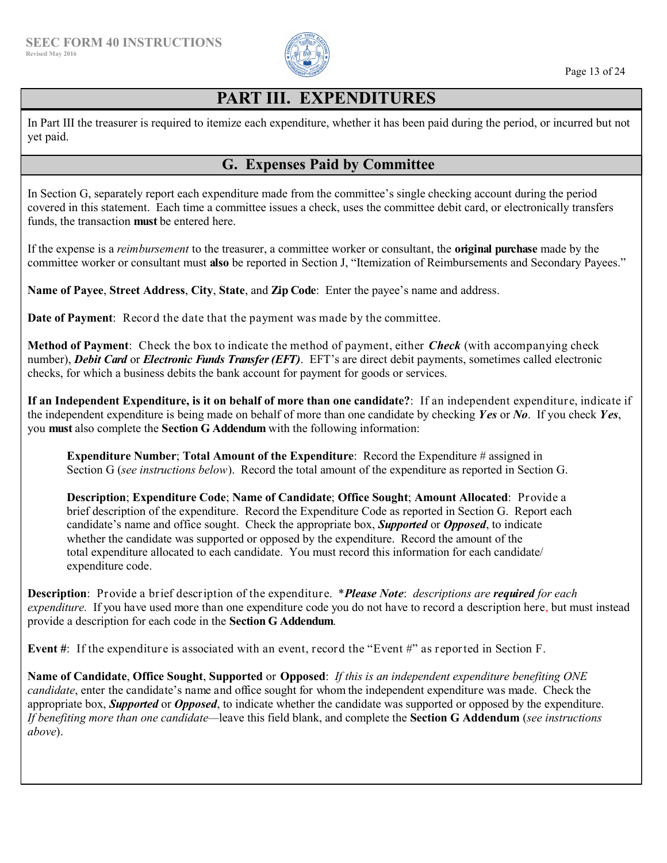

# **PART III. EXPENDITURES**

In Part III the treasurer is required to itemize each expenditure, whether it has been paid during the period, or incurred but not yet paid.

# **G. Expenses Paid by Committee**

In Section G, separately report each expenditure made from the committee's single checking account during the period covered in this statement. Each time a committee issues a check, uses the committee debit card, or electronically transfers funds, the transaction **must** be entered here.

If the expense is a *reimbursement* to the treasurer, a committee worker or consultant, the **original purchase** made by the committee worker or consultant must **also** be reported in Section J, "Itemization of Reimbursements and Secondary Payees."

**Name of Payee**, **Street Address**, **City**, **State**, and **Zip Code**: Enter the payee's name and address.

**Date of Payment**: Record the date that the payment was made by the committee.

**Method of Payment**: Check the box to indicate the method of payment, either *Check* (with accompanying check number), *Debit Card* or *Electronic Funds Transfer (EFT)*. EFT's are direct debit payments, sometimes called electronic checks, for which a business debits the bank account for payment for goods or services.

**If an Independent Expenditure, is it on behalf of more than one candidate?**: If an independent expenditure, indicate if the independent expenditure is being made on behalf of more than one candidate by checking *Yes* or *No*. If you check *Yes*, you **must** also complete the **Section G Addendum** with the following information:

**Expenditure Number**; **Total Amount of the Expenditure**:Record the Expenditure # assigned in Section G (*see instructions below*).Record the total amount of the expenditure as reported in Section G.

**Description**; **Expenditure Code**; **Name of Candidate**; **Office Sought**; **Amount Allocated**: Provide a brief description of the expenditure. Record the Expenditure Code as reported in Section G. Report each candidate's name and office sought. Check the appropriate box, *Supported* or *Opposed*, to indicate whether the candidate was supported or opposed by the expenditure. Record the amount of the total expenditure allocated to each candidate. You must record this information for each candidate/ expenditure code.

**Description**: Provide a brief description of the expenditure. \**Please Note*: *descriptions are required for each expenditure.* If you have used more than one expenditure code you do not have to record a description here, but must instead provide a description for each code in the **Section G Addendum**.

**Event #**: If the expenditure is associated with an event, record the "Event #" as reported in Section F.

**Name of Candidate**, **Office Sought**, **Supported** or **Opposed**: *If this is an independent expenditure benefiting ONE candidate*, enter the candidate's name and office sought for whom the independent expenditure was made. Check the appropriate box, *Supported* or *Opposed*, to indicate whether the candidate was supported or opposed by the expenditure. *If benefiting more than one candidate—*leave this field blank, and complete the **Section G Addendum** (*see instructions above*).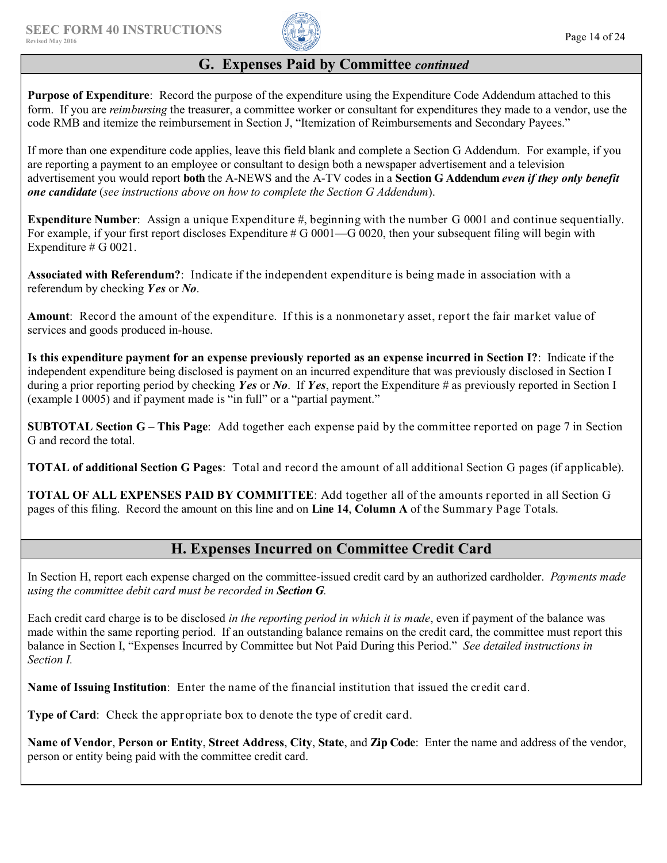

# **G. Expenses Paid by Committee** *continued*

**Purpose of Expenditure**: Record the purpose of the expenditure using the Expenditure Code Addendum attached to this form. If you are *reimbursing* the treasurer, a committee worker or consultant for expenditures they made to a vendor, use the code RMB and itemize the reimbursement in Section J, "Itemization of Reimbursements and Secondary Payees."

If more than one expenditure code applies, leave this field blank and complete a Section G Addendum. For example, if you are reporting a payment to an employee or consultant to design both a newspaper advertisement and a television advertisement you would report **both** the A-NEWS and the A-TV codes in a **Section G Addendum** *even if they only benefit one candidate* (*see instructions above on how to complete the Section G Addendum*).

**Expenditure Number**: Assign a unique Expenditure #, beginning with the number G 0001 and continue sequentially. For example, if your first report discloses Expenditure  $# G 0001$ — $G 0020$ , then your subsequent filing will begin with Expenditure  $\#$  G 0021.

**Associated with Referendum?**: Indicate if the independent expenditure is being made in association with a referendum by checking *Yes* or *No*.

**Amount**: Record the amount of the expenditure. If this is a nonmonetary asset, report the fair market value of services and goods produced in-house.

**Is this expenditure payment for an expense previously reported as an expense incurred in Section I?**:Indicate if the independent expenditure being disclosed is payment on an incurred expenditure that was previously disclosed in Section I during a prior reporting period by checking *Yes* or *No*. If *Yes*, report the Expenditure # as previously reported in Section I (example I 0005) and if payment made is "in full" or a "partial payment."

**SUBTOTAL Section G – This Page**: Add together each expense paid by the committee reported on page 7 in Section G and record the total.

**TOTAL of additional Section G Pages**: Total and record the amount of all additional Section G pages (if applicable).

**TOTAL OF ALL EXPENSES PAID BY COMMITTEE**: Add together all of the amounts reported in all Section G pages of this filing. Record the amount on this line and on **Line 14**, **Column A** of the Summary Page Totals.

# **H. Expenses Incurred on Committee Credit Card**

In Section H, report each expense charged on the committee-issued credit card by an authorized cardholder. *Payments made using the committee debit card must be recorded in Section G.*

Each credit card charge is to be disclosed *in the reporting period in which it is made*, even if payment of the balance was made within the same reporting period. If an outstanding balance remains on the credit card, the committee must report this balance in Section I, "Expenses Incurred by Committee but Not Paid During this Period." *See detailed instructions in Section I.*

**Name of Issuing Institution**: Enter the name of the financial institution that issued the credit card.

**Type of Card:** Check the appropriate box to denote the type of credit card.

**Name of Vendor**, **Person or Entity**, **Street Address**, **City**, **State**, and **Zip Code**: Enter the name and address of the vendor, person or entity being paid with the committee credit card.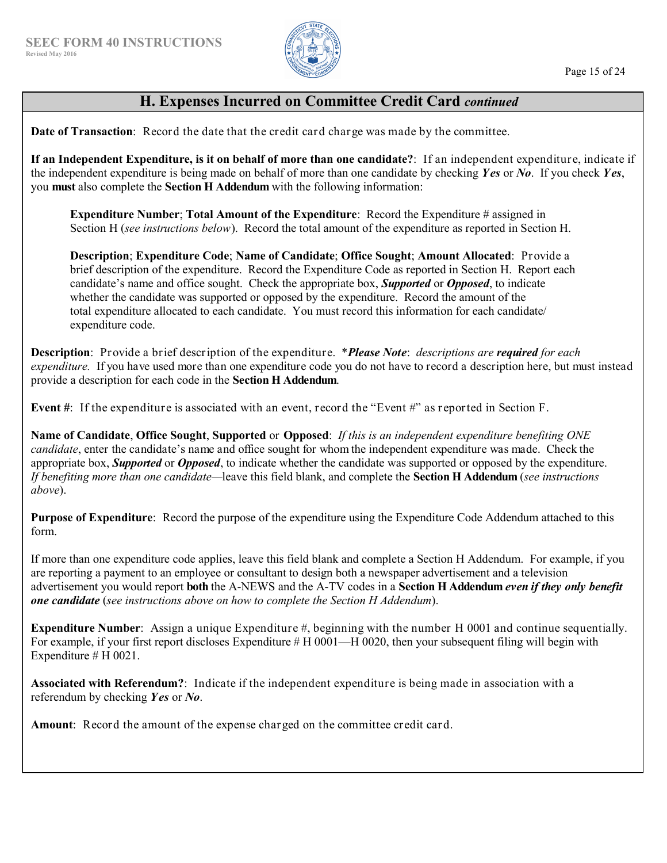

# **H. Expenses Incurred on Committee Credit Card** *continued*

**Date of Transaction**: Record the date that the credit card charge was made by the committee.

**If an Independent Expenditure, is it on behalf of more than one candidate?**: If an independent expenditure, indicate if the independent expenditure is being made on behalf of more than one candidate by checking *Yes* or *No*. If you check *Yes*, you **must** also complete the **Section H Addendum** with the following information:

**Expenditure Number**; **Total Amount of the Expenditure**:Record the Expenditure # assigned in Section H (*see instructions below*).Record the total amount of the expenditure as reported in Section H.

**Description**; **Expenditure Code**; **Name of Candidate**; **Office Sought**; **Amount Allocated**: Provide a brief description of the expenditure. Record the Expenditure Code as reported in Section H. Report each candidate's name and office sought. Check the appropriate box, *Supported* or *Opposed*, to indicate whether the candidate was supported or opposed by the expenditure. Record the amount of the total expenditure allocated to each candidate. You must record this information for each candidate/ expenditure code.

**Description**: Provide a brief description of the expenditure. \**Please Note*: *descriptions are required for each expenditure.* If you have used more than one expenditure code you do not have to record a description here, but must instead provide a description for each code in the **Section H Addendum**.

**Event #**: If the expenditure is associated with an event, record the "Event #" as reported in Section F.

**Name of Candidate**, **Office Sought**, **Supported** or **Opposed**: *If this is an independent expenditure benefiting ONE candidate*, enter the candidate's name and office sought for whom the independent expenditure was made. Check the appropriate box, *Supported* or *Opposed*, to indicate whether the candidate was supported or opposed by the expenditure. *If benefiting more than one candidate—*leave this field blank, and complete the **Section H Addendum** (*see instructions above*).

**Purpose of Expenditure**: Record the purpose of the expenditure using the Expenditure Code Addendum attached to this form.

If more than one expenditure code applies, leave this field blank and complete a Section H Addendum. For example, if you are reporting a payment to an employee or consultant to design both a newspaper advertisement and a television advertisement you would report **both** the A-NEWS and the A-TV codes in a **Section H Addendum** *even if they only benefit one candidate* (*see instructions above on how to complete the Section H Addendum*).

**Expenditure Number**: Assign a unique Expenditure #, beginning with the number H 0001 and continue sequentially. For example, if your first report discloses Expenditure # H 0001—H 0020, then your subsequent filing will begin with Expenditure # H 0021.

**Associated with Referendum?**: Indicate if the independent expenditure is being made in association with a referendum by checking *Yes* or *No*.

**Amount**: Record the amount of the expense charged on the committee credit card.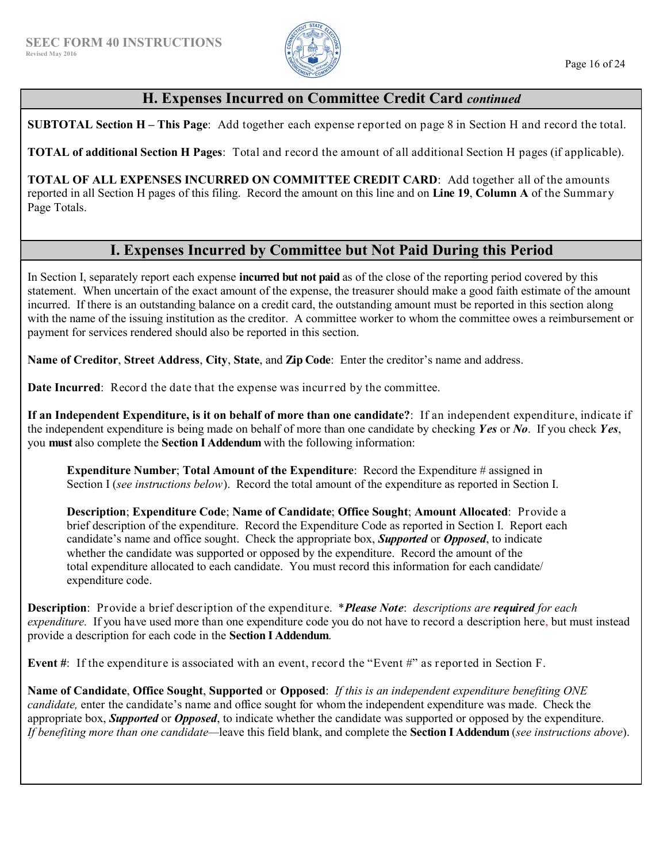

# **H. Expenses Incurred on Committee Credit Card** *continued*

**SUBTOTAL Section H – This Page**: Add together each expense reported on page 8 in Section H and record the total.

**TOTAL of additional Section H Pages**: Total and record the amount of all additional Section H pages (if applicable).

**TOTAL OF ALL EXPENSES INCURRED ON COMMITTEE CREDIT CARD**: Add together all of the amounts reported in all Section H pages of this filing. Record the amount on this line and on **Line 19**, **Column A** of the Summary Page Totals.

# **I. Expenses Incurred by Committee but Not Paid During this Period**

In Section I, separately report each expense **incurred but not paid** as of the close of the reporting period covered by this statement. When uncertain of the exact amount of the expense, the treasurer should make a good faith estimate of the amount incurred. If there is an outstanding balance on a credit card, the outstanding amount must be reported in this section along with the name of the issuing institution as the creditor. A committee worker to whom the committee owes a reimbursement or payment for services rendered should also be reported in this section.

**Name of Creditor**, **Street Address**, **City**, **State**, and **Zip Code**: Enter the creditor's name and address.

**Date Incurred**: Record the date that the expense was incurred by the committee.

**If an Independent Expenditure, is it on behalf of more than one candidate?**: If an independent expenditure, indicate if the independent expenditure is being made on behalf of more than one candidate by checking *Yes* or *No*. If you check *Yes*, you **must** also complete the **Section I Addendum** with the following information:

**Expenditure Number**; **Total Amount of the Expenditure**:Record the Expenditure # assigned in Section I (*see instructions below*).Record the total amount of the expenditure as reported in Section I.

**Description**; **Expenditure Code**; **Name of Candidate**; **Office Sought**; **Amount Allocated**: Provide a brief description of the expenditure. Record the Expenditure Code as reported in Section I. Report each candidate's name and office sought. Check the appropriate box, *Supported* or *Opposed*, to indicate whether the candidate was supported or opposed by the expenditure. Record the amount of the total expenditure allocated to each candidate. You must record this information for each candidate/ expenditure code.

**Description**: Provide a brief description of the expenditure. \**Please Note*: *descriptions are required for each expenditure.* If you have used more than one expenditure code you do not have to record a description here, but must instead provide a description for each code in the **Section I Addendum**.

**Event #**: If the expenditure is associated with an event, record the "Event #" as reported in Section F.

**Name of Candidate**, **Office Sought**, **Supported** or **Opposed**: *If this is an independent expenditure benefiting ONE candidate,* enter the candidate's name and office sought for whom the independent expenditure was made. Check the appropriate box, *Supported* or *Opposed*, to indicate whether the candidate was supported or opposed by the expenditure. *If benefiting more than one candidate—*leave this field blank, and complete the **Section I Addendum** (*see instructions above*).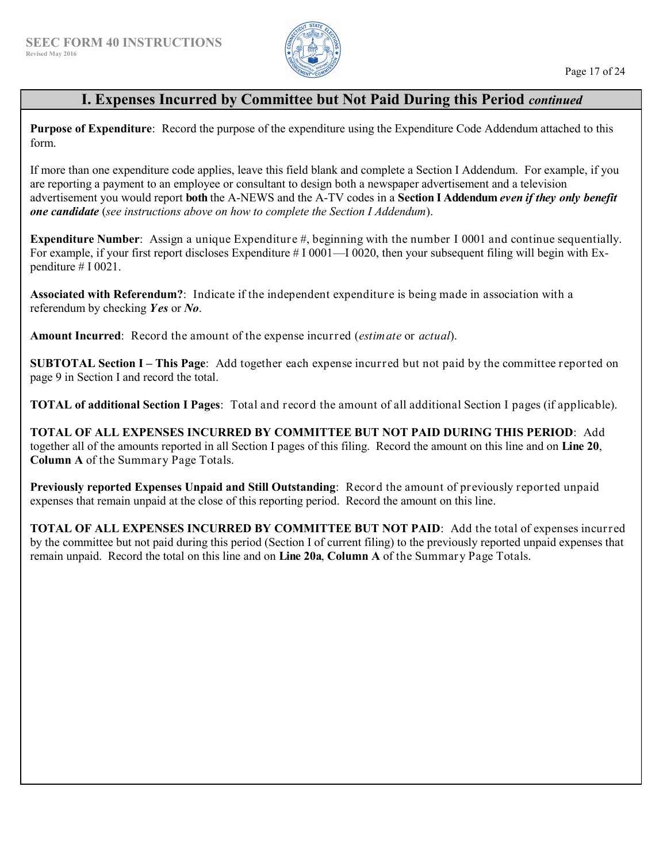

# **I. Expenses Incurred by Committee but Not Paid During this Period** *continued*

**Purpose of Expenditure**: Record the purpose of the expenditure using the Expenditure Code Addendum attached to this form.

If more than one expenditure code applies, leave this field blank and complete a Section I Addendum. For example, if you are reporting a payment to an employee or consultant to design both a newspaper advertisement and a television advertisement you would report **both** the A-NEWS and the A-TV codes in a **Section I Addendum** *even if they only benefit one candidate* (*see instructions above on how to complete the Section I Addendum*).

**Expenditure Number**: Assign a unique Expenditure #, beginning with the number I 0001 and continue sequentially. For example, if your first report discloses Expenditure # I 0001—I 0020, then your subsequent filing will begin with Expenditure  $\#$  I 0021.

**Associated with Referendum?**: Indicate if the independent expenditure is being made in association with a referendum by checking *Yes* or *No*.

**Amount Incurred**: Record the amount of the expense incurred (*estimate* or *actual*).

**SUBTOTAL Section I – This Page**: Add together each expense incurred but not paid by the committee reported on page 9 in Section I and record the total.

**TOTAL of additional Section I Pages**: Total and record the amount of all additional Section I pages (if applicable).

**TOTAL OF ALL EXPENSES INCURRED BY COMMITTEE BUT NOT PAID DURING THIS PERIOD**: Add together all of the amounts reported in all Section I pages of this filing. Record the amount on this line and on **Line 20**, **Column A** of the Summary Page Totals.

**Previously reported Expenses Unpaid and Still Outstanding**: Record the amount of previously reported unpaid expenses that remain unpaid at the close of this reporting period. Record the amount on this line.

**TOTAL OF ALL EXPENSES INCURRED BY COMMITTEE BUT NOT PAID**: Add the total of expenses incurred by the committee but not paid during this period (Section I of current filing) to the previously reported unpaid expenses that remain unpaid. Record the total on this line and on **Line 20a**, **Column A** of the Summary Page Totals.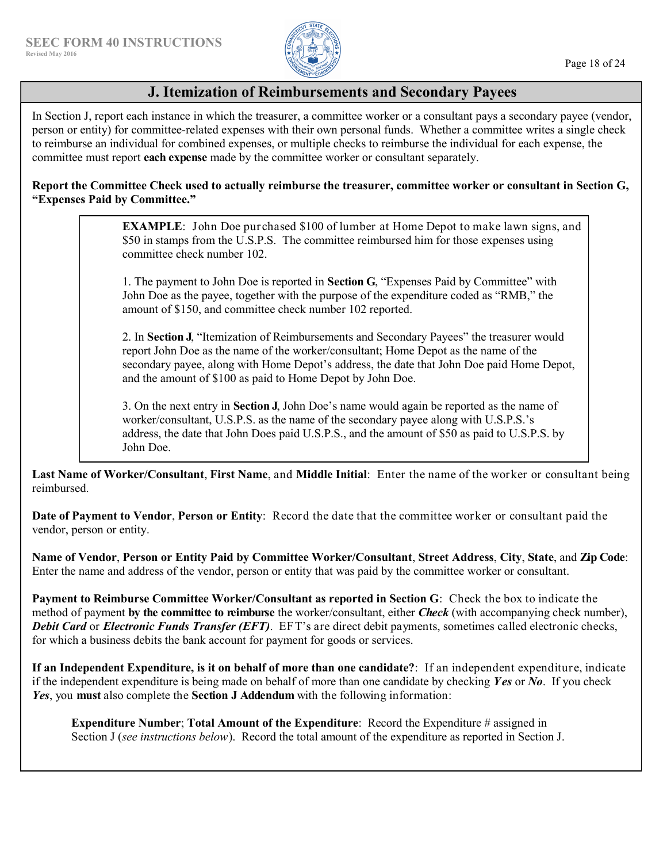

# **J. Itemization of Reimbursements and Secondary Payees**

In Section J, report each instance in which the treasurer, a committee worker or a consultant pays a secondary payee (vendor, person or entity) for committee-related expenses with their own personal funds. Whether a committee writes a single check to reimburse an individual for combined expenses, or multiple checks to reimburse the individual for each expense, the committee must report **each expense** made by the committee worker or consultant separately.

### **Report the Committee Check used to actually reimburse the treasurer, committee worker or consultant in Section G, "Expenses Paid by Committee."**

**EXAMPLE**: John Doe purchased \$100 of lumber at Home Depot to make lawn signs, and \$50 in stamps from the U.S.P.S. The committee reimbursed him for those expenses using committee check number 102.

1. The payment to John Doe is reported in **Section G**, "Expenses Paid by Committee" with John Doe as the payee, together with the purpose of the expenditure coded as "RMB," the amount of \$150, and committee check number 102 reported.

2. In **Section J**, "Itemization of Reimbursements and Secondary Payees" the treasurer would report John Doe as the name of the worker/consultant; Home Depot as the name of the secondary payee, along with Home Depot's address, the date that John Doe paid Home Depot, and the amount of \$100 as paid to Home Depot by John Doe.

3. On the next entry in **Section J**, John Doe's name would again be reported as the name of worker/consultant, U.S.P.S. as the name of the secondary payee along with U.S.P.S.'s address, the date that John Does paid U.S.P.S., and the amount of \$50 as paid to U.S.P.S. by John Doe.

**Last Name of Worker/Consultant**, **First Name**, and **Middle Initial**: Enter the name of the worker or consultant being reimbursed.

**Date of Payment to Vendor**, **Person or Entity**: Record the date that the committee worker or consultant paid the vendor, person or entity.

**Name of Vendor**, **Person or Entity Paid by Committee Worker/Consultant**, **Street Address**, **City**, **State**, and **Zip Code**: Enter the name and address of the vendor, person or entity that was paid by the committee worker or consultant.

**Payment to Reimburse Committee Worker/Consultant as reported in Section G**: Check the box to indicate the method of payment **by the committee to reimburse** the worker/consultant, either *Check* (with accompanying check number), *Debit Card* or *Electronic Funds Transfer (EFT)*. EFT's are direct debit payments, sometimes called electronic checks, for which a business debits the bank account for payment for goods or services.

**If an Independent Expenditure, is it on behalf of more than one candidate?**: If an independent expenditure, indicate if the independent expenditure is being made on behalf of more than one candidate by checking *Yes* or *No*. If you check *Yes*, you **must** also complete the **Section J Addendum** with the following information:

**Expenditure Number**; **Total Amount of the Expenditure**:Record the Expenditure # assigned in Section J (*see instructions below*).Record the total amount of the expenditure as reported in Section J.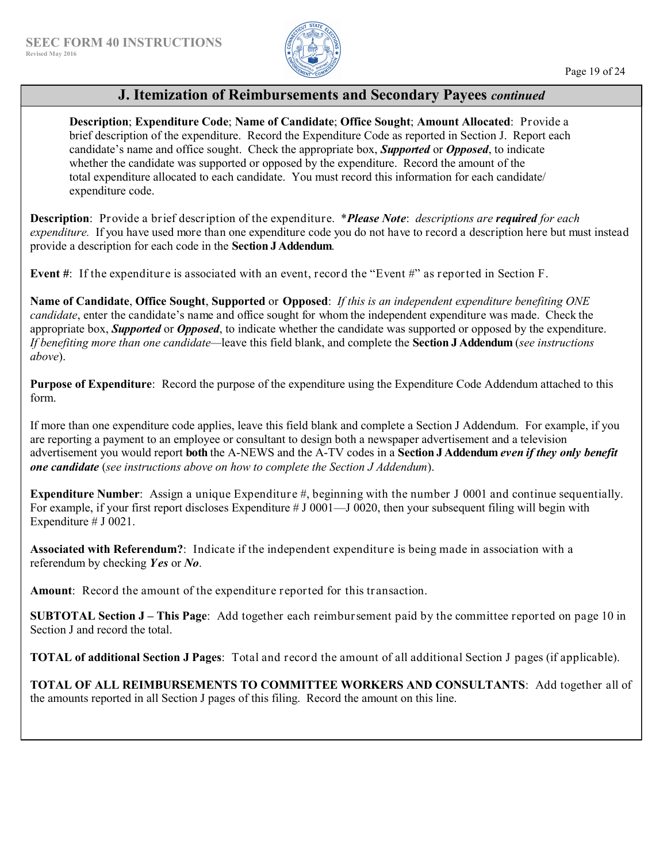

# **J. Itemization of Reimbursements and Secondary Payees** *continued*

**Description**; **Expenditure Code**; **Name of Candidate**; **Office Sought**; **Amount Allocated**: Provide a brief description of the expenditure. Record the Expenditure Code as reported in Section J. Report each candidate's name and office sought. Check the appropriate box, *Supported* or *Opposed*, to indicate whether the candidate was supported or opposed by the expenditure. Record the amount of the total expenditure allocated to each candidate. You must record this information for each candidate/ expenditure code.

**Description**: Provide a brief description of the expenditure. \**Please Note*: *descriptions are required for each expenditure.* If you have used more than one expenditure code you do not have to record a description here but must instead provide a description for each code in the **Section J Addendum**.

**Event #**: If the expenditure is associated with an event, record the "Event #" as reported in Section F.

**Name of Candidate**, **Office Sought**, **Supported** or **Opposed**: *If this is an independent expenditure benefiting ONE candidate*, enter the candidate's name and office sought for whom the independent expenditure was made. Check the appropriate box, *Supported* or *Opposed*, to indicate whether the candidate was supported or opposed by the expenditure. *If benefiting more than one candidate—*leave this field blank, and complete the **Section J Addendum** (*see instructions above*).

**Purpose of Expenditure**: Record the purpose of the expenditure using the Expenditure Code Addendum attached to this form.

If more than one expenditure code applies, leave this field blank and complete a Section J Addendum. For example, if you are reporting a payment to an employee or consultant to design both a newspaper advertisement and a television advertisement you would report **both** the A-NEWS and the A-TV codes in a **Section J Addendum** *even if they only benefit one candidate* (*see instructions above on how to complete the Section J Addendum*).

**Expenditure Number**: Assign a unique Expenditure #, beginning with the number J 0001 and continue sequentially. For example, if your first report discloses Expenditure # J 0001—J 0020, then your subsequent filing will begin with Expenditure # J 0021.

**Associated with Referendum?**: Indicate if the independent expenditure is being made in association with a referendum by checking *Yes* or *No*.

**Amount**: Record the amount of the expenditure reported for this transaction.

**SUBTOTAL Section J – This Page**: Add together each reimbursement paid by the committee reported on page 10 in Section J and record the total.

**TOTAL of additional Section J Pages**: Total and record the amount of all additional Section J pages (if applicable).

**TOTAL OF ALL REIMBURSEMENTS TO COMMITTEE WORKERS AND CONSULTANTS**: Add together all of the amounts reported in all Section J pages of this filing. Record the amount on this line.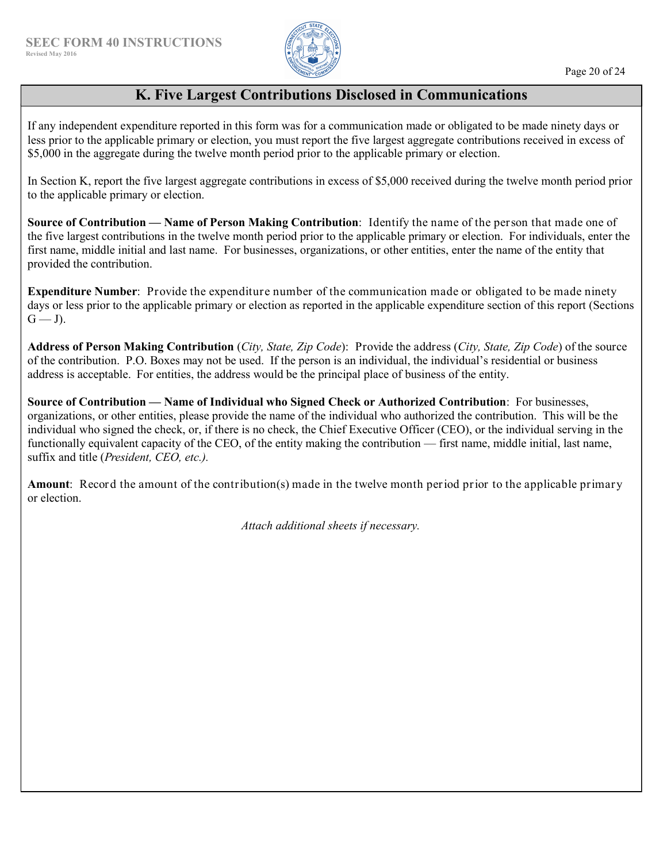

# **K. Five Largest Contributions Disclosed in Communications**

If any independent expenditure reported in this form was for a communication made or obligated to be made ninety days or less prior to the applicable primary or election, you must report the five largest aggregate contributions received in excess of \$5,000 in the aggregate during the twelve month period prior to the applicable primary or election.

In Section K, report the five largest aggregate contributions in excess of \$5,000 received during the twelve month period prior to the applicable primary or election.

**Source of Contribution — Name of Person Making Contribution**: Identify the name of the person that made one of the five largest contributions in the twelve month period prior to the applicable primary or election. For individuals, enter the first name, middle initial and last name. For businesses, organizations, or other entities, enter the name of the entity that provided the contribution.

**Expenditure Number**: Provide the expenditure number of the communication made or obligated to be made ninety days or less prior to the applicable primary or election as reported in the applicable expenditure section of this report (Sections  $G - J$ ).

**Address of Person Making Contribution** (*City, State, Zip Code*): Provide the address (*City, State, Zip Code*) of the source of the contribution. P.O. Boxes may not be used. If the person is an individual, the individual's residential or business address is acceptable. For entities, the address would be the principal place of business of the entity.

**Source of Contribution — Name of Individual who Signed Check or Authorized Contribution**:For businesses, organizations, or other entities, please provide the name of the individual who authorized the contribution. This will be the individual who signed the check, or, if there is no check, the Chief Executive Officer (CEO), or the individual serving in the functionally equivalent capacity of the CEO, of the entity making the contribution — first name, middle initial, last name, suffix and title (*President, CEO, etc.).*

**Amount**: Record the amount of the contribution(s) made in the twelve month period prior to the applicable primary or election.

*Attach additional sheets if necessary.*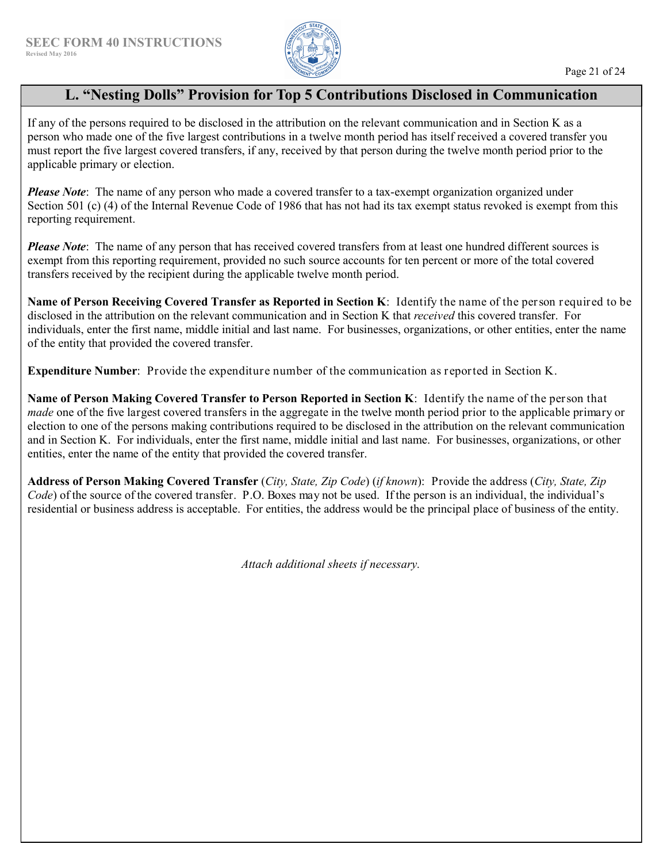

# **L. "Nesting Dolls" Provision for Top 5 Contributions Disclosed in Communication**

If any of the persons required to be disclosed in the attribution on the relevant communication and in Section K as a person who made one of the five largest contributions in a twelve month period has itself received a covered transfer you must report the five largest covered transfers, if any, received by that person during the twelve month period prior to the applicable primary or election.

*Please Note*: The name of any person who made a covered transfer to a tax-exempt organization organized under Section 501 (c) (4) of the Internal Revenue Code of 1986 that has not had its tax exempt status revoked is exempt from this reporting requirement.

*Please Note*: The name of any person that has received covered transfers from at least one hundred different sources is exempt from this reporting requirement, provided no such source accounts for ten percent or more of the total covered transfers received by the recipient during the applicable twelve month period.

**Name of Person Receiving Covered Transfer as Reported in Section K**: Identify the name of the person required to be disclosed in the attribution on the relevant communication and in Section K that *received* this covered transfer. For individuals, enter the first name, middle initial and last name. For businesses, organizations, or other entities, enter the name of the entity that provided the covered transfer.

**Expenditure Number**: Provide the expenditure number of the communication as reported in Section K.

**Name of Person Making Covered Transfer to Person Reported in Section K**: Identify the name of the person that *made* one of the five largest covered transfers in the aggregate in the twelve month period prior to the applicable primary or election to one of the persons making contributions required to be disclosed in the attribution on the relevant communication and in Section K. For individuals, enter the first name, middle initial and last name. For businesses, organizations, or other entities, enter the name of the entity that provided the covered transfer.

**Address of Person Making Covered Transfer** (*City, State, Zip Code*) (*if known*): Provide the address (*City, State, Zip Code*) of the source of the covered transfer. P.O. Boxes may not be used. If the person is an individual, the individual's residential or business address is acceptable. For entities, the address would be the principal place of business of the entity.

*Attach additional sheets if necessary.*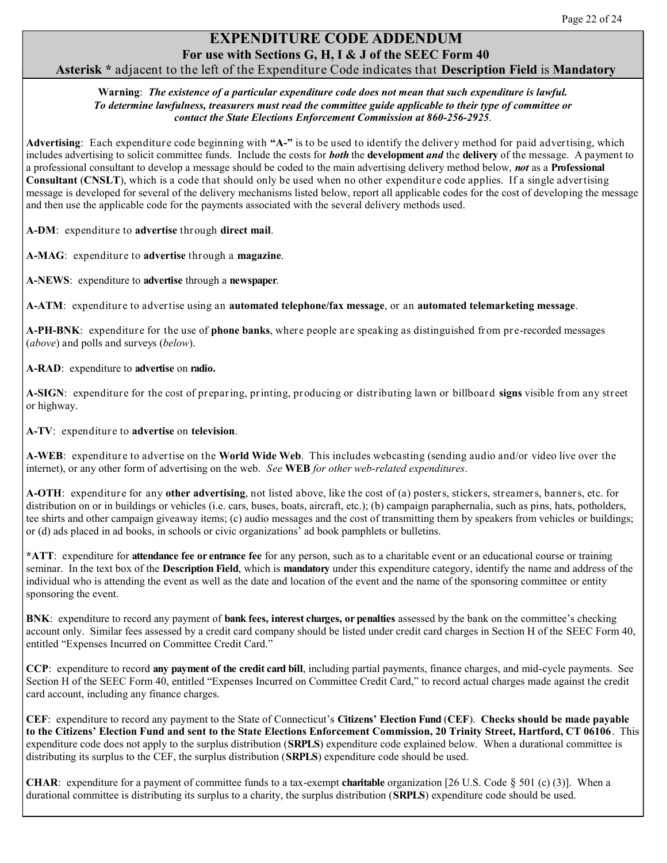# **EXPENDITURE CODE ADDENDUM For use with Sections G, H, I & J of the SEEC Form 40**

### **Asterisk \*** adjacent to the left of the Expenditure Code indicates that **Description Field** is **Mandatory**

#### **Warning**: *The existence of a particular expenditure code does not mean that such expenditure is lawful. To determine lawfulness, treasurers must read the committee guide applicable to their type of committee or contact the State Elections Enforcement Commission at 860-256-2925*.

**Advertising**: Each expenditure code beginning with **"A-"** is to be used to identify the delivery method for paid advertising, which includes advertising to solicit committee funds. Include the costs for *both* the **development** *and* the **delivery** of the message. A payment to a professional consultant to develop a message should be coded to the main advertising delivery method below, *not* as a **Professional Consultant** (**CNSLT**), which is a code that should only be used when no other expenditure code applies. If a single advertising message is developed for several of the delivery mechanisms listed below, report all applicable codes for the cost of developing the message and then use the applicable code for the payments associated with the several delivery methods used.

**A-DM**: expenditure to **advertise** through **direct mail**.

**A-MAG**: expenditure to **advertise** through a **magazine**.

**A-NEWS**:expenditure to **advertise** through a **newspaper**.

**A-ATM**: expenditure to advertise using an **automated telephone/fax message**, or an **automated telemarketing message**.

**A-PH-BNK**: expenditure for the use of **phone banks**, where people are speaking as distinguished from pre-recorded messages (*above*) and polls and surveys (*below*).

**A-RAD**:expenditure to **advertise** on **radio.**

**A-SIGN**: expenditure for the cost of preparing, printing, producing or distributing lawn or billboard **signs** visible from any street or highway.

**A-TV**: expenditure to **advertise** on **television**.

**A-WEB**: expenditure to advertise on the **World Wide Web**. This includes webcasting (sending audio and/or video live over the internet), or any other form of advertising on the web. *See* **WEB** *for other web-related expenditures*.

**A-OTH**: expenditure for any **other advertising**, not listed above, like the cost of (a) posters, stickers, streamers, banners, etc. for distribution on or in buildings or vehicles (i.e. cars, buses, boats, aircraft, etc.); (b) campaign paraphernalia, such as pins, hats, potholders, tee shirts and other campaign giveaway items; (c) audio messages and the cost of transmitting them by speakers from vehicles or buildings; or (d) ads placed in ad books, in schools or civic organizations' ad book pamphlets or bulletins.

**\*ATT**:expenditure for **attendance fee or entrance fee** for any person, such as to a charitable event or an educational course or training seminar. In the text box of the **Description Field**, which is **mandatory** under this expenditure category, identify the name and address of the individual who is attending the event as well as the date and location of the event and the name of the sponsoring committee or entity sponsoring the event.

**BNK**: expenditure to record any payment of **bank fees, interest charges, or penalties** assessed by the bank on the committee's checking account only. Similar fees assessed by a credit card company should be listed under credit card charges in Section H of the SEEC Form 40, entitled "Expenses Incurred on Committee Credit Card."

**CCP**:expenditure to record **any payment of the credit card bill**, including partial payments, finance charges, and mid-cycle payments. See Section H of the SEEC Form 40, entitled "Expenses Incurred on Committee Credit Card," to record actual charges made against the credit card account, including any finance charges.

**CEF**:expenditure to record any payment to the State of Connecticut's **Citizens' Election Fund** (**CEF**). **Checks should be made payable to the Citizens' Election Fund and sent to the State Elections Enforcement Commission, 20 Trinity Street, Hartford, CT 06106**.This expenditure code does not apply to the surplus distribution (**SRPLS**) expenditure code explained below. When a durational committee is distributing its surplus to the CEF, the surplus distribution (**SRPLS**) expenditure code should be used.

**CHAR:** expenditure for a payment of committee funds to a tax-exempt **charitable** organization [26 U.S. Code § 501 (c) (3)]. When a durational committee is distributing its surplus to a charity, the surplus distribution (**SRPLS**) expenditure code should be used.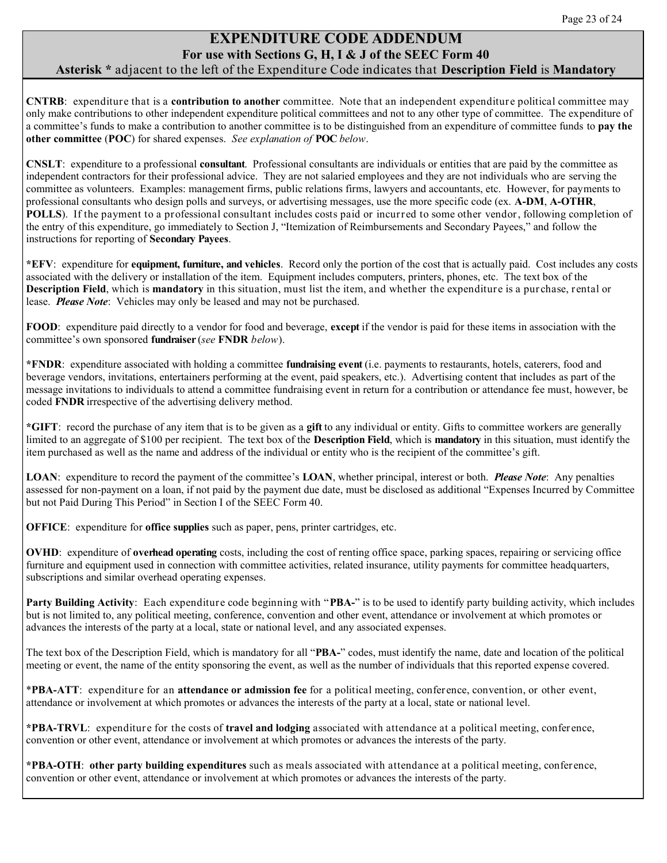# **EXPENDITURE CODE ADDENDUM For use with Sections G, H, I & J of the SEEC Form 40**

### **Asterisk \*** adjacent to the left of the Expenditure Code indicates that **Description Field** is **Mandatory**

**CNTRB**: expenditure that is a **contribution to another** committee. Note that an independent expenditure political committee may only make contributions to other independent expenditure political committees and not to any other type of committee. The expenditure of a committee's funds to make a contribution to another committee is to be distinguished from an expenditure of committee funds to **pay the other committee** (**POC**) for shared expenses. *See explanation of* **POC** *below*.

**CNSLT**:expenditure to a professional **consultant**.Professional consultants are individuals or entities that are paid by the committee as independent contractors for their professional advice. They are not salaried employees and they are not individuals who are serving the committee as volunteers. Examples: management firms, public relations firms, lawyers and accountants, etc. However, for payments to professional consultants who design polls and surveys, or advertising messages, use the more specific code (ex. **A-DM**, **A-OTHR**, **POLLS**). If the payment to a professional consultant includes costs paid or incurred to some other vendor, following completion of the entry of this expenditure, go immediately to Section J, "Itemization of Reimbursements and Secondary Payees," and follow the instructions for reporting of **Secondary Payees**.

**\*EFV**: expenditure for **equipment, furniture, and vehicles**. Record only the portion of the cost that is actually paid. Cost includes any costs associated with the delivery or installation of the item. Equipment includes computers, printers, phones, etc. The text box of the **Description Field**, which is **mandatory** in this situation, must list the item, and whether the expenditure is a purchase, rental or lease. *Please Note*: Vehicles may only be leased and may not be purchased.

**FOOD**: expenditure paid directly to a vendor for food and beverage, **except** if the vendor is paid for these items in association with the committee's own sponsored **fundraiser** (*see* **FNDR** *below*).

**\*FNDR**:expenditure associated with holding a committee **fundraising event** (i.e. payments to restaurants, hotels, caterers, food and beverage vendors, invitations, entertainers performing at the event, paid speakers, etc.). Advertising content that includes as part of the message invitations to individuals to attend a committee fundraising event in return for a contribution or attendance fee must, however, be coded **FNDR** irrespective of the advertising delivery method.

**\*GIFT**:record the purchase of any item that is to be given as a **gift** to any individual or entity. Gifts to committee workers are generally limited to an aggregate of \$100 per recipient. The text box of the **Description Field**, which is **mandatory** in this situation, must identify the item purchased as well as the name and address of the individual or entity who is the recipient of the committee's gift.

**LOAN**:expenditure to record the payment of the committee's **LOAN**, whether principal, interest or both. *Please Note*: Any penalties assessed for non-payment on a loan, if not paid by the payment due date, must be disclosed as additional "Expenses Incurred by Committee but not Paid During This Period" in Section I of the SEEC Form 40.

**OFFICE**:expenditure for **office supplies** such as paper, pens, printer cartridges, etc.

**OVHD**: expenditure of **overhead operating** costs, including the cost of renting office space, parking spaces, repairing or servicing office furniture and equipment used in connection with committee activities, related insurance, utility payments for committee headquarters, subscriptions and similar overhead operating expenses.

**Party Building Activity**: Each expenditure code beginning with "**PBA-**" is to be used to identify party building activity, which includes but is not limited to, any political meeting, conference, convention and other event, attendance or involvement at which promotes or advances the interests of the party at a local, state or national level, and any associated expenses.

The text box of the Description Field, which is mandatory for all "**PBA-**" codes, must identify the name, date and location of the political meeting or event, the name of the entity sponsoring the event, as well as the number of individuals that this reported expense covered.

\***PBA-ATT**: expenditure for an **attendance or admission fee** for a political meeting, conference, convention, or other event, attendance or involvement at which promotes or advances the interests of the party at a local, state or national level.

**\*PBA-TRVL**: expenditure for the costs of **travel and lodging** associated with attendance at a political meeting, conference, convention or other event, attendance or involvement at which promotes or advances the interests of the party.

**\*PBA-OTH**: **other party building expenditures** such as meals associated with attendance at a political meeting, conference, convention or other event, attendance or involvement at which promotes or advances the interests of the party.